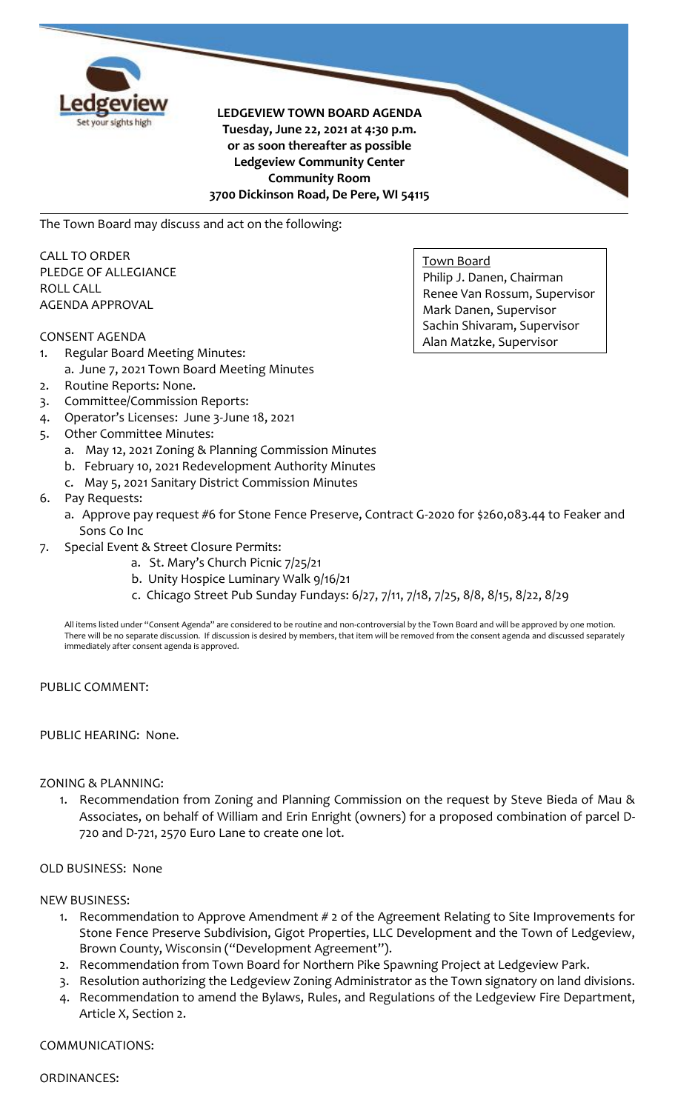

**LEDGEVIEW TOWN BOARD AGENDA Tuesday, June 22, 2021 at 4:30 p.m. or as soon thereafter as possible Ledgeview Community Center Community Room 3700 Dickinson Road, De Pere, WI 54115**

The Town Board may discuss and act on the following:

CALL TO ORDER PLEDGE OF ALLEGIANCE ROLL CALL AGENDA APPROVAL

## CONSENT AGENDA

- 1. Regular Board Meeting Minutes:
	- a. June 7, 2021 Town Board Meeting Minutes
- 2. Routine Reports: None.
- 3. Committee/Commission Reports:
- 4. Operator's Licenses: June 3-June 18, 2021
- 5. Other Committee Minutes:
	- a. May 12, 2021 Zoning & Planning Commission Minutes
	- b. February 10, 2021 Redevelopment Authority Minutes
	- c. May 5, 2021 Sanitary District Commission Minutes
- 6. Pay Requests:
	- a. Approve pay request #6 for Stone Fence Preserve, Contract G-2020 for \$260,083.44 to Feaker and Sons Co Inc
- 7. Special Event & Street Closure Permits:
	- a. St. Mary's Church Picnic 7/25/21
	- b. Unity Hospice Luminary Walk 9/16/21
	- c. Chicago Street Pub Sunday Fundays: 6/27, 7/11, 7/18, 7/25, 8/8, 8/15, 8/22, 8/29

All items listed under "Consent Agenda" are considered to be routine and non-controversial by the Town Board and will be approved by one motion. There will be no separate discussion. If discussion is desired by members, that item will be removed from the consent agenda and discussed separately immediately after consent agenda is approved.

PUBLIC COMMENT:

#### PUBLIC HEARING: None.

#### ZONING & PLANNING:

1. Recommendation from Zoning and Planning Commission on the request by Steve Bieda of Mau & Associates, on behalf of William and Erin Enright (owners) for a proposed combination of parcel D-720 and D-721, 2570 Euro Lane to create one lot.

# OLD BUSINESS: None

#### NEW BUSINESS:

- 1. Recommendation to Approve Amendment # 2 of the Agreement Relating to Site Improvements for Stone Fence Preserve Subdivision, Gigot Properties, LLC Development and the Town of Ledgeview, Brown County, Wisconsin ("Development Agreement").
- 2. Recommendation from Town Board for Northern Pike Spawning Project at Ledgeview Park.
- 3. Resolution authorizing the Ledgeview Zoning Administrator as the Town signatory on land divisions. 4. Recommendation to amend the Bylaws, Rules, and Regulations of the Ledgeview Fire Department,
- Article X, Section 2.

# COMMUNICATIONS:

ORDINANCES:

Town Board Philip J. Danen, Chairman Renee Van Rossum, Supervisor Mark Danen, Supervisor Sachin Shivaram, Supervisor Alan Matzke, Supervisor